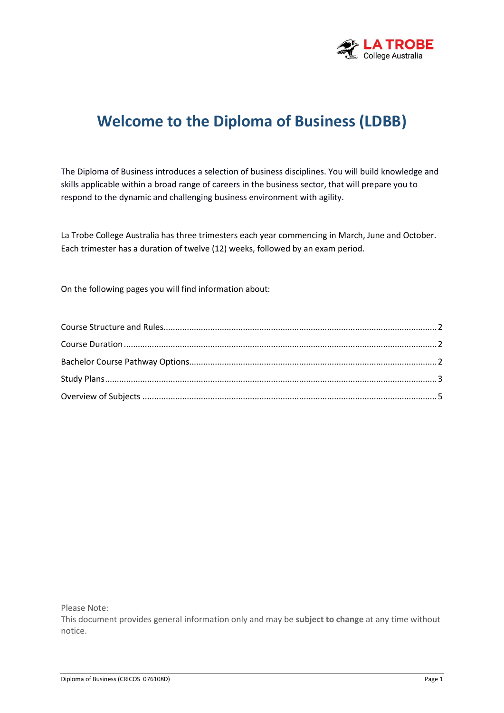

# **Welcome to the Diploma of Business (LDBB)**

The Diploma of Business introduces a selection of business disciplines. You will build knowledge and skills applicable within a broad range of careers in the business sector, that will prepare you to respond to the dynamic and challenging business environment with agility.

La Trobe College Australia has three trimesters each year commencing in March, June and October. Each trimester has a duration of twelve (12) weeks, followed by an exam period.

On the following pages you will find information about:

Please Note:

This document provides general information only and may be **subject to change** at any time without notice.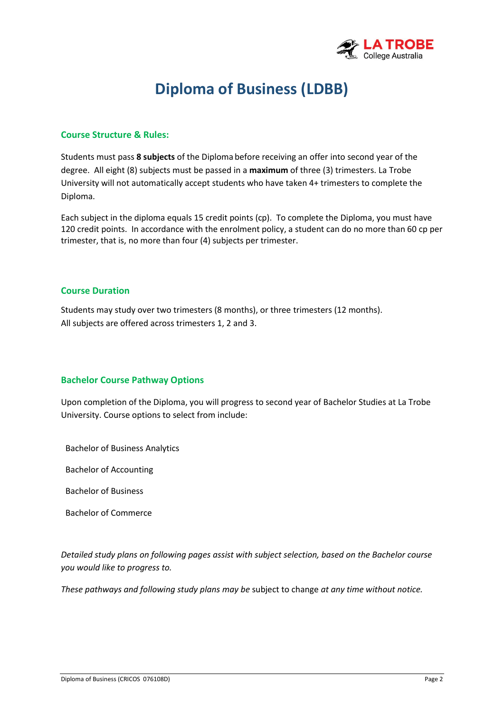

# **Diploma of Business (LDBB)**

#### **Course Structure & Rules:**

Students must pass **8 subjects** of the Diploma before receiving an offer into second year of the degree. All eight (8) subjects must be passed in a **maximum** of three (3) trimesters. La Trobe University will not automatically accept students who have taken 4+ trimesters to complete the Diploma.

Each subject in the diploma equals 15 credit points (cp). To complete the Diploma, you must have 120 credit points. In accordance with the enrolment policy, a student can do no more than 60 cp per trimester, that is, no more than four (4) subjects per trimester.

#### **Course Duration**

Students may study over two trimesters (8 months), or three trimesters (12 months). All subjects are offered across trimesters 1, 2 and 3.

#### **Bachelor Course Pathway Options**

Upon completion of the Diploma, you will progress to second year of Bachelor Studies at La Trobe University. Course options to select from include:

Bachelor of Business Analytics

Bachelor of Accounting

Bachelor of Business

Bachelor of Commerce

*Detailed study plans on following pages assist with subject selection, based on the Bachelor course you would like to progress to.*

*These pathways and following study plans may be* subject to change *at any time without notice.*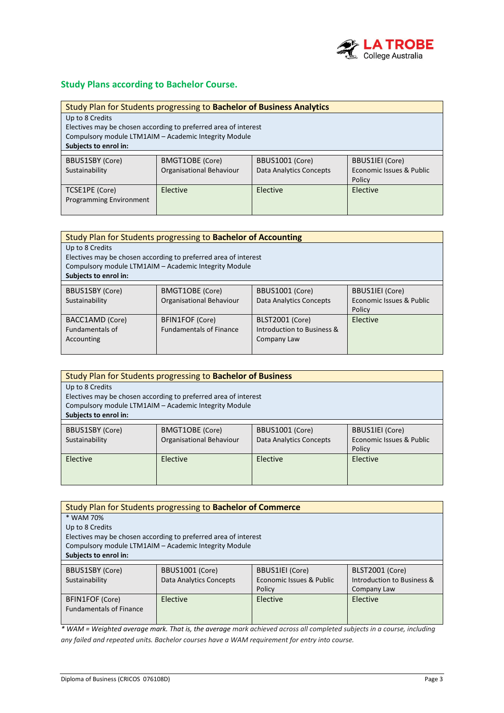

#### **Study Plans according to Bachelor Course.**

| Study Plan for Students progressing to Bachelor of Business Analytics |                                                                 |                                |                          |  |
|-----------------------------------------------------------------------|-----------------------------------------------------------------|--------------------------------|--------------------------|--|
| Up to 8 Credits                                                       |                                                                 |                                |                          |  |
|                                                                       | Electives may be chosen according to preferred area of interest |                                |                          |  |
|                                                                       | Compulsory module LTM1AIM - Academic Integrity Module           |                                |                          |  |
| Subjects to enrol in:                                                 |                                                                 |                                |                          |  |
| BBUS1SBY (Core)                                                       | BMGT1OBE (Core)                                                 | BBUS1001 (Core)                | <b>BBUS1IEI</b> (Core)   |  |
|                                                                       |                                                                 |                                |                          |  |
| Sustainability                                                        | Organisational Behaviour                                        | <b>Data Analytics Concepts</b> | Economic Issues & Public |  |
|                                                                       |                                                                 |                                | Policy                   |  |
| TCSE1PE (Core)                                                        | Elective                                                        | Elective                       | Elective                 |  |
| Programming Environment                                               |                                                                 |                                |                          |  |
|                                                                       |                                                                 |                                |                          |  |

| Study Plan for Students progressing to Bachelor of Accounting |                                                                 |                                |                          |
|---------------------------------------------------------------|-----------------------------------------------------------------|--------------------------------|--------------------------|
| Up to 8 Credits                                               |                                                                 |                                |                          |
|                                                               | Electives may be chosen according to preferred area of interest |                                |                          |
|                                                               | Compulsory module LTM1AIM - Academic Integrity Module           |                                |                          |
| Subjects to enrol in:                                         |                                                                 |                                |                          |
|                                                               |                                                                 |                                |                          |
| <b>BBUS1SBY (Core)</b>                                        | <b>BMGT1OBE</b> (Core)                                          | <b>BBUS1001 (Core)</b>         | <b>BBUS1IEI</b> (Core)   |
| Sustainability                                                | Organisational Behaviour                                        | <b>Data Analytics Concepts</b> | Economic Issues & Public |
|                                                               |                                                                 |                                | Policy                   |
| BACC1AMD (Core)                                               | <b>BFIN1FOF (Core)</b>                                          | BLST2001 (Core)                | Elective                 |
| <b>Fundamentals of</b>                                        | <b>Fundamentals of Finance</b>                                  | Introduction to Business &     |                          |
| Accounting                                                    |                                                                 | Company Law                    |                          |
|                                                               |                                                                 |                                |                          |

| Study Plan for Students progressing to Bachelor of Business |                                                                 |                         |                          |  |
|-------------------------------------------------------------|-----------------------------------------------------------------|-------------------------|--------------------------|--|
| Up to 8 Credits                                             |                                                                 |                         |                          |  |
|                                                             | Electives may be chosen according to preferred area of interest |                         |                          |  |
|                                                             | Compulsory module LTM1AIM - Academic Integrity Module           |                         |                          |  |
| Subjects to enrol in:                                       |                                                                 |                         |                          |  |
|                                                             |                                                                 |                         |                          |  |
| <b>BBUS1SBY (Core)</b>                                      | BMGT1OBE (Core)                                                 | BBUS1001 (Core)         | <b>BBUS1IEI</b> (Core)   |  |
| Sustainability                                              | Organisational Behaviour                                        | Data Analytics Concepts | Economic Issues & Public |  |
|                                                             |                                                                 |                         | Policy                   |  |
| Elective                                                    | Elective                                                        | Elective                | Elective                 |  |
|                                                             |                                                                 |                         |                          |  |
|                                                             |                                                                 |                         |                          |  |
|                                                             |                                                                 |                         |                          |  |

| Study Plan for Students progressing to Bachelor of Commerce |                                                                 |                          |                            |
|-------------------------------------------------------------|-----------------------------------------------------------------|--------------------------|----------------------------|
| * WAM 70%                                                   |                                                                 |                          |                            |
| Up to 8 Credits                                             |                                                                 |                          |                            |
|                                                             | Electives may be chosen according to preferred area of interest |                          |                            |
|                                                             | Compulsory module LTM1AIM - Academic Integrity Module           |                          |                            |
| Subjects to enrol in:                                       |                                                                 |                          |                            |
|                                                             |                                                                 |                          |                            |
| BBUS1SBY (Core)                                             | BBUS1001 (Core)                                                 | <b>BBUS1IEI</b> (Core)   | BLST2001 (Core)            |
| Sustainability                                              | Data Analytics Concepts                                         | Economic Issues & Public | Introduction to Business & |
|                                                             |                                                                 | Policy                   | Company Law                |
| <b>BFIN1FOF (Core)</b>                                      | Elective                                                        | Elective                 | Elective                   |
| <b>Fundamentals of Finance</b>                              |                                                                 |                          |                            |
|                                                             |                                                                 |                          |                            |

*\* WAM = Weighted average mark. That is, the average mark achieved across all completed subjects in a course, including any failed and repeated units. Bachelor courses have a WAM requirement for entry into course.*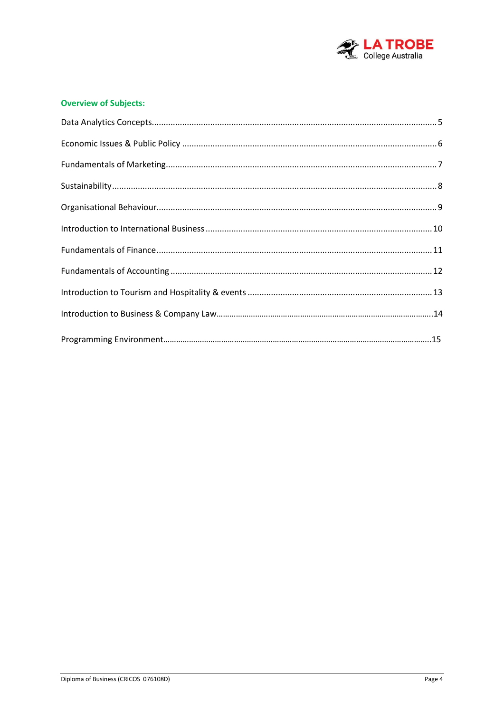

#### **Overview of Subjects:**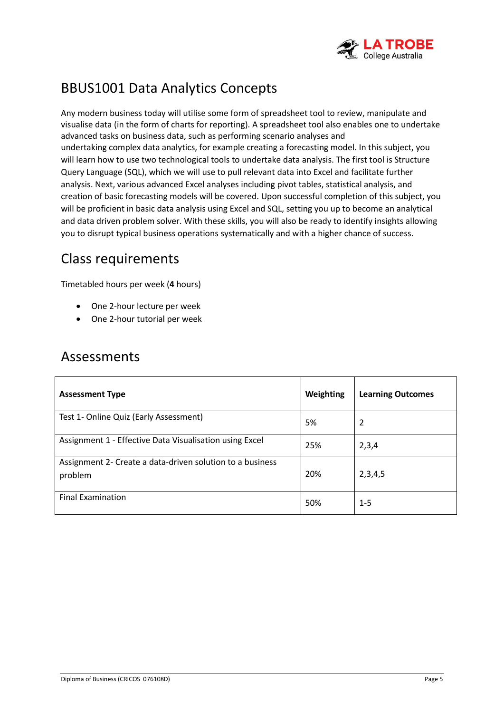

# BBUS1001 Data Analytics Concepts

Any modern business today will utilise some form of spreadsheet tool to review, manipulate and visualise data (in the form of charts for reporting). A spreadsheet tool also enables one to undertake advanced tasks on business data, such as performing scenario analyses and undertaking complex data analytics, for example creating a forecasting model. In this subject, you will learn how to use two technological tools to undertake data analysis. The first tool is Structure Query Language (SQL), which we will use to pull relevant data into Excel and facilitate further analysis. Next, various advanced Excel analyses including pivot tables, statistical analysis, and creation of basic forecasting models will be covered. Upon successful completion of this subject, you will be proficient in basic data analysis using Excel and SQL, setting you up to become an analytical and data driven problem solver. With these skills, you will also be ready to identify insights allowing you to disrupt typical business operations systematically and with a higher chance of success.

## Class requirements

Timetabled hours per week (**4** hours)

- One 2-hour lecture per week
- One 2-hour tutorial per week

| <b>Assessment Type</b>                                               | Weighting | <b>Learning Outcomes</b> |
|----------------------------------------------------------------------|-----------|--------------------------|
| Test 1- Online Quiz (Early Assessment)                               | 5%        | 2                        |
| Assignment 1 - Effective Data Visualisation using Excel              | 25%       | 2,3,4                    |
| Assignment 2- Create a data-driven solution to a business<br>problem | 20%       | 2,3,4,5                  |
| <b>Final Examination</b>                                             | 50%       | $1 - 5$                  |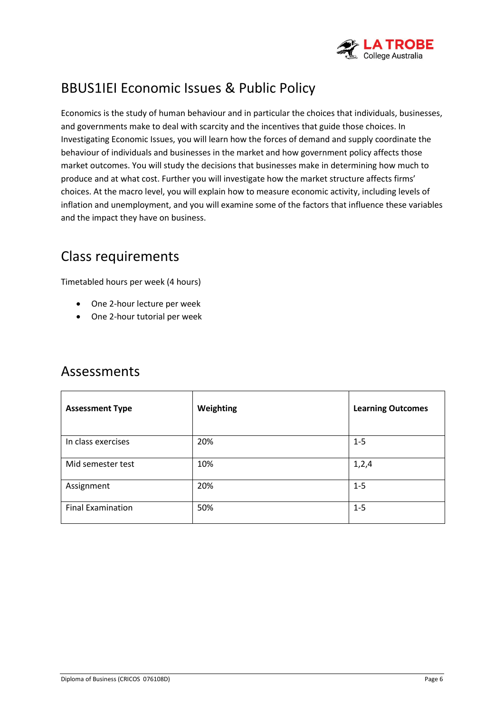

# BBUS1IEI Economic Issues & Public Policy

Economics is the study of human behaviour and in particular the choices that individuals, businesses, and governments make to deal with scarcity and the incentives that guide those choices. In Investigating Economic Issues, you will learn how the forces of demand and supply coordinate the behaviour of individuals and businesses in the market and how government policy affects those market outcomes. You will study the decisions that businesses make in determining how much to produce and at what cost. Further you will investigate how the market structure affects firms' choices. At the macro level, you will explain how to measure economic activity, including levels of inflation and unemployment, and you will examine some of the factors that influence these variables and the impact they have on business.

## Class requirements

Timetabled hours per week (4 hours)

- One 2-hour lecture per week
- One 2-hour tutorial per week

| <b>Assessment Type</b>   | Weighting | <b>Learning Outcomes</b> |
|--------------------------|-----------|--------------------------|
| In class exercises       | 20%       | $1 - 5$                  |
| Mid semester test        | 10%       | 1,2,4                    |
| Assignment               | 20%       | $1 - 5$                  |
| <b>Final Examination</b> | 50%       | $1 - 5$                  |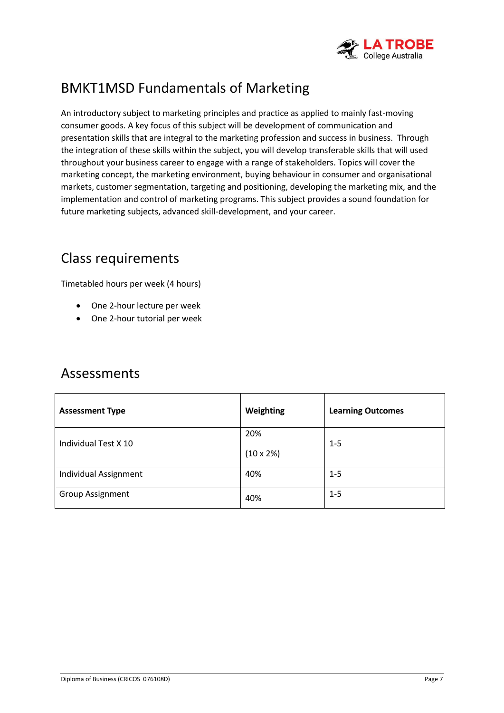

# BMKT1MSD Fundamentals of Marketing

An introductory subject to marketing principles and practice as applied to mainly fast-moving consumer goods. A key focus of this subject will be development of communication and presentation skills that are integral to the marketing profession and success in business. Through the integration of these skills within the subject, you will develop transferable skills that will used throughout your business career to engage with a range of stakeholders. Topics will cover the marketing concept, the marketing environment, buying behaviour in consumer and organisational markets, customer segmentation, targeting and positioning, developing the marketing mix, and the implementation and control of marketing programs. This subject provides a sound foundation for future marketing subjects, advanced skill-development, and your career.

## Class requirements

Timetabled hours per week (4 hours)

- One 2-hour lecture per week
- One 2-hour tutorial per week

| <b>Assessment Type</b>  | Weighting                | <b>Learning Outcomes</b> |
|-------------------------|--------------------------|--------------------------|
| Individual Test X 10    | 20%<br>$(10 \times 2\%)$ | $1 - 5$                  |
| Individual Assignment   | 40%                      | $1 - 5$                  |
| <b>Group Assignment</b> | 40%                      | $1 - 5$                  |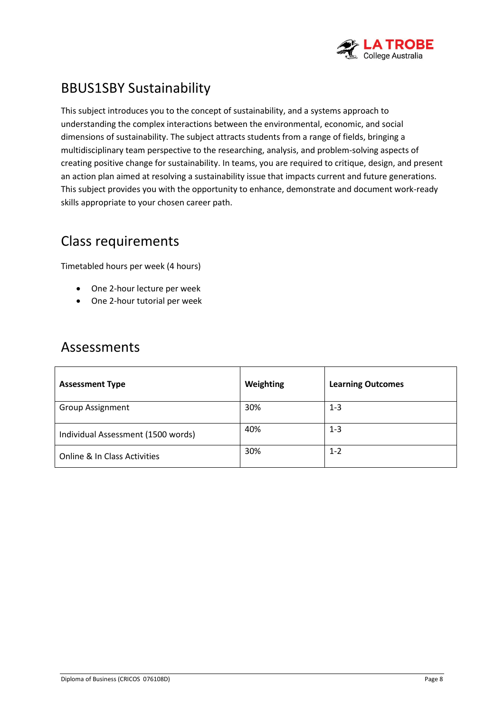

# BBUS1SBY Sustainability

This subject introduces you to the concept of sustainability, and a systems approach to understanding the complex interactions between the environmental, economic, and social dimensions of sustainability. The subject attracts students from a range of fields, bringing a multidisciplinary team perspective to the researching, analysis, and problem-solving aspects of creating positive change for sustainability. In teams, you are required to critique, design, and present an action plan aimed at resolving a sustainability issue that impacts current and future generations. This subject provides you with the opportunity to enhance, demonstrate and document work-ready skills appropriate to your chosen career path.

# Class requirements

Timetabled hours per week (4 hours)

- One 2-hour lecture per week
- One 2-hour tutorial per week

| <b>Assessment Type</b>             | Weighting | <b>Learning Outcomes</b> |
|------------------------------------|-----------|--------------------------|
| <b>Group Assignment</b>            | 30%       | $1 - 3$                  |
| Individual Assessment (1500 words) | 40%       | $1 - 3$                  |
| Online & In Class Activities       | 30%       | $1 - 2$                  |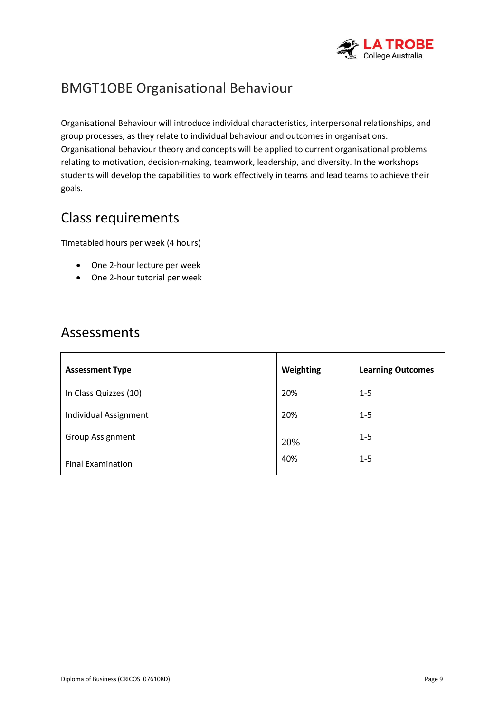

# BMGT1OBE Organisational Behaviour

Organisational Behaviour will introduce individual characteristics, interpersonal relationships, and group processes, as they relate to individual behaviour and outcomes in organisations. Organisational behaviour theory and concepts will be applied to current organisational problems relating to motivation, decision-making, teamwork, leadership, and diversity. In the workshops students will develop the capabilities to work effectively in teams and lead teams to achieve their goals.

## Class requirements

Timetabled hours per week (4 hours)

- One 2-hour lecture per week
- One 2-hour tutorial per week

| <b>Assessment Type</b>   | Weighting | <b>Learning Outcomes</b> |
|--------------------------|-----------|--------------------------|
| In Class Quizzes (10)    | 20%       | $1 - 5$                  |
| Individual Assignment    | 20%       | $1 - 5$                  |
| <b>Group Assignment</b>  | 20%       | $1 - 5$                  |
| <b>Final Examination</b> | 40%       | $1 - 5$                  |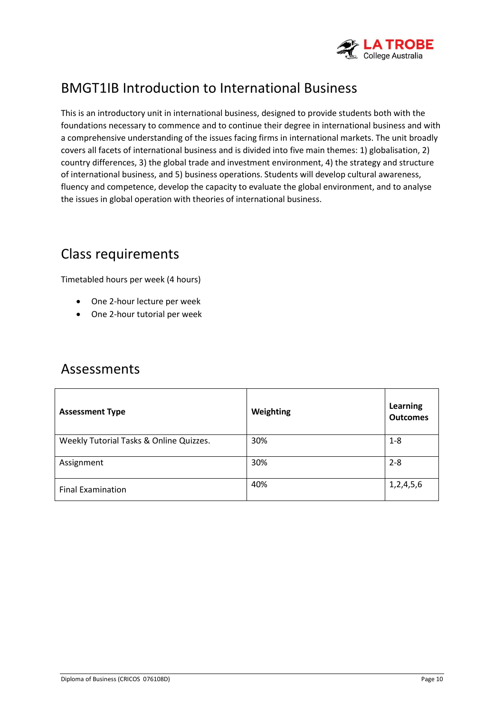

# BMGT1IB Introduction to International Business

This is an introductory unit in international business, designed to provide students both with the foundations necessary to commence and to continue their degree in international business and with a comprehensive understanding of the issues facing firms in international markets. The unit broadly covers all facets of international business and is divided into five main themes: 1) globalisation, 2) country differences, 3) the global trade and investment environment, 4) the strategy and structure of international business, and 5) business operations. Students will develop cultural awareness, fluency and competence, develop the capacity to evaluate the global environment, and to analyse the issues in global operation with theories of international business.

## Class requirements

Timetabled hours per week (4 hours)

- One 2-hour lecture per week
- One 2-hour tutorial per week

<span id="page-9-0"></span>

| <b>Assessment Type</b>                  | Weighting | Learning<br><b>Outcomes</b> |
|-----------------------------------------|-----------|-----------------------------|
| Weekly Tutorial Tasks & Online Quizzes. | 30%       | $1 - 8$                     |
| Assignment                              | 30%       | $2 - 8$                     |
| <b>Final Examination</b>                | 40%       | 1,2,4,5,6                   |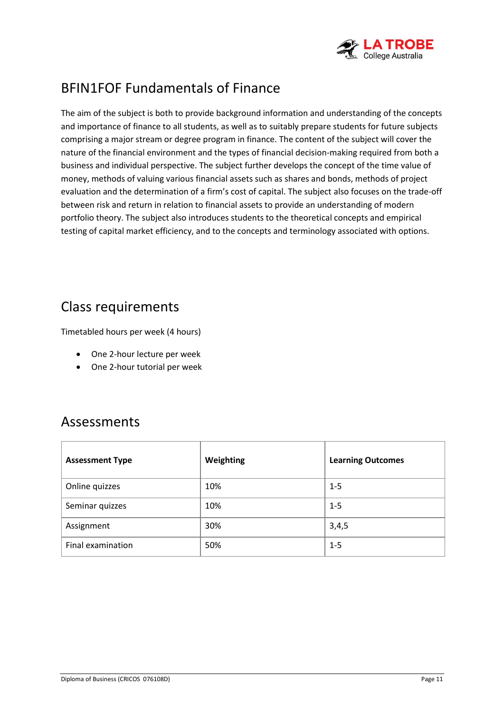

# BFIN1FOF Fundamentals of Finance

The aim of the subject is both to provide background information and understanding of the concepts and importance of finance to all students, as well as to suitably prepare students for future subjects comprising a major stream or degree program in finance. The content of the subject will cover the nature of the financial environment and the types of financial decision-making required from both a business and individual perspective. The subject further develops the concept of the time value of money, methods of valuing various financial assets such as shares and bonds, methods of project evaluation and the determination of a firm's cost of capital. The subject also focuses on the trade-off between risk and return in relation to financial assets to provide an understanding of modern portfolio theory. The subject also introduces students to the theoretical concepts and empirical testing of capital market efficiency, and to the concepts and terminology associated with options.

## Class requirements

Timetabled hours per week (4 hours)

- One 2-hour lecture per week
- One 2-hour tutorial per week

| <b>Assessment Type</b> | Weighting | <b>Learning Outcomes</b> |
|------------------------|-----------|--------------------------|
| Online quizzes         | 10%       | $1 - 5$                  |
| Seminar quizzes        | 10%       | $1 - 5$                  |
| Assignment             | 30%       | 3,4,5                    |
| Final examination      | 50%       | $1 - 5$                  |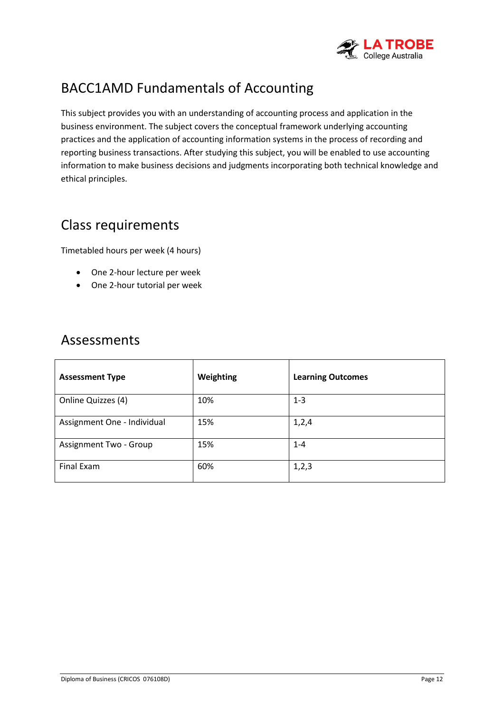

# BACC1AMD Fundamentals of Accounting

This subject provides you with an understanding of accounting process and application in the business environment. The subject covers the conceptual framework underlying accounting practices and the application of accounting information systems in the process of recording and reporting business transactions. After studying this subject, you will be enabled to use accounting information to make business decisions and judgments incorporating both technical knowledge and ethical principles.

## Class requirements

Timetabled hours per week (4 hours)

- One 2-hour lecture per week
- One 2-hour tutorial per week

| <b>Assessment Type</b>      | Weighting | <b>Learning Outcomes</b> |
|-----------------------------|-----------|--------------------------|
| Online Quizzes (4)          | 10%       | $1 - 3$                  |
| Assignment One - Individual | 15%       | 1,2,4                    |
| Assignment Two - Group      | 15%       | $1 - 4$                  |
| Final Exam                  | 60%       | 1, 2, 3                  |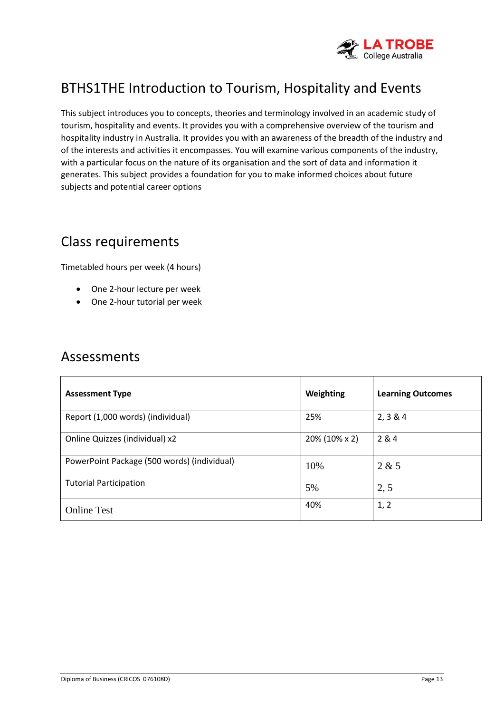

# BTHS1THE Introduction to Tourism, Hospitality and Events

This subject introduces you to concepts, theories and terminology involved in an academic study of tourism, hospitality and events. It provides you with a comprehensive overview of the tourism and hospitality industry in Australia. It provides you with an awareness of the breadth of the industry and of the interests and activities it encompasses. You will examine various components of the industry, with a particular focus on the nature of its organisation and the sort of data and information it generates. This subject provides a foundation for you to make informed choices about future subjects and potential career options

## Class requirements

Timetabled hours per week (4 hours)

- One 2-hour lecture per week
- One 2-hour tutorial per week

| <b>Assessment Type</b>                      | Weighting     | <b>Learning Outcomes</b> |
|---------------------------------------------|---------------|--------------------------|
| Report (1,000 words) (individual)           | 25%           | 2, 3 & 4                 |
| Online Quizzes (individual) x2              | 20% (10% x 2) | 2 & 4                    |
| PowerPoint Package (500 words) (individual) | 10%           | 2 & 5                    |
| <b>Tutorial Participation</b>               | 5%            | 2, 5                     |
| <b>Online Test</b>                          | 40%           | 1, 2                     |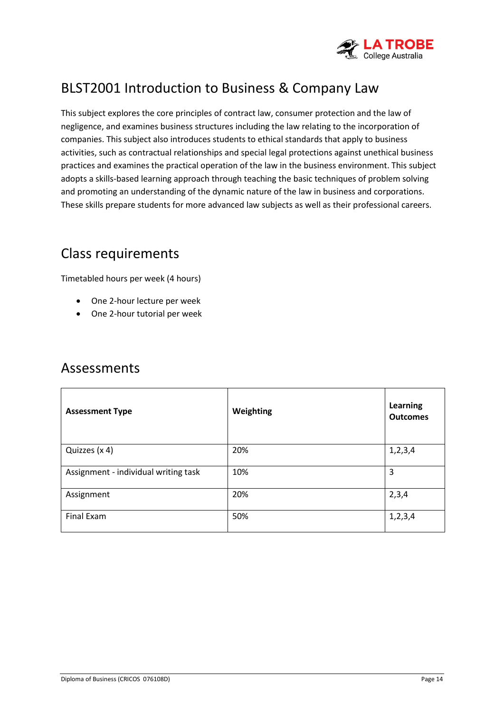

# BLST2001 Introduction to Business & Company Law

This subject explores the core principles of contract law, consumer protection and the law of negligence, and examines business structures including the law relating to the incorporation of companies. This subject also introduces students to ethical standards that apply to business activities, such as contractual relationships and special legal protections against unethical business practices and examines the practical operation of the law in the business environment. This subject adopts a skills-based learning approach through teaching the basic techniques of problem solving and promoting an understanding of the dynamic nature of the law in business and corporations. These skills prepare students for more advanced law subjects as well as their professional careers.

## Class requirements

Timetabled hours per week (4 hours)

- One 2-hour lecture per week
- One 2-hour tutorial per week

| <b>Assessment Type</b>               | Weighting | <b>Learning</b><br><b>Outcomes</b> |
|--------------------------------------|-----------|------------------------------------|
| Quizzes (x 4)                        | 20%       | 1, 2, 3, 4                         |
| Assignment - individual writing task | 10%       | 3                                  |
| Assignment                           | 20%       | 2,3,4                              |
| Final Exam                           | 50%       | 1, 2, 3, 4                         |